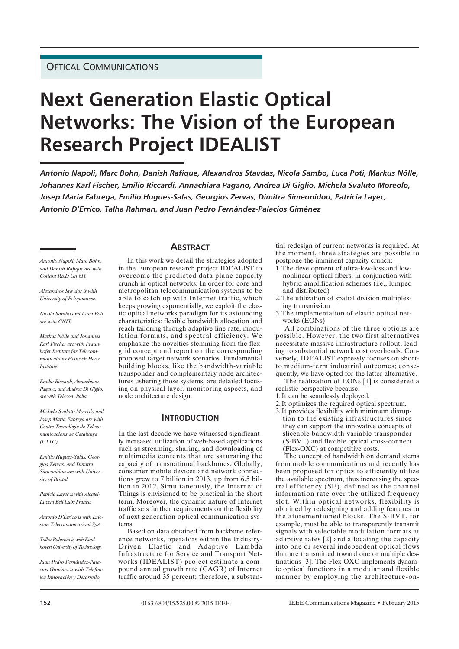# **Next Generation Elastic Optical Networks: The Vision of the European Research Project IDEALIST**

*Antonio Napoli, Marc Bohn, Danish Rafique, Alexandros Stavdas, Nicola Sambo, Luca Potì, Markus Nölle, Johannes Karl Fischer, Emilio Riccardi, Annachiara Pagano, Andrea Di Giglio, Michela Svaluto Moreolo, Josep Maria Fabrega, Emilio Hugues-Salas, Georgios Zervas, Dimitra Simeonidou, Patricia Layec, Antonio D'Errico, Talha Rahman, and Juan Pedro Fernández-Palacios Giménez*

*Antonio Napoli, Marc Bohn, and Danish Rafique are with Coriant R&D GmbH.*

*Alexandros Stavdas is with University of Peloponnese.*

*Nicola Sambo and Luca Potì are with CNIT.*

*Markus Nölle and Johannes Karl Fischer are with Fraunhofer Institute for Telecommunications Heinrich Hertz Institute.*

*Emilio Riccardi, Annachiara Pagano, and Andrea Di Giglio, are with Telecom Italia.*

*Michela Svaluto Moreolo and Josep Maria Fabrega are with Centre Tecnològic de Telecomunicacions de Catalunya (CTTC).*

*Emilio Hugues-Salas, Georgios Zervas, and Dimitra Simeonidou are with University of Bristol.*

*Patricia Layec is with Alcatel-Lucent Bell Labs France.*

*Antonio D'Errico is with Ericsson Telecomunicazioni SpA.*

*Talha Rahman is with Eindhoven University of Technology.*

*Juan Pedro Fernández-Palacios Giménez is with Telefonica Innovación y Desarrollo.*

## **ABSTRACT**

In this work we detail the strategies adopted in the European research project IDEALIST to overcome the predicted data plane capacity crunch in optical networks. In order for core and metropolitan telecommunication systems to be able to catch up with Internet traffic, which keeps growing exponentially, we exploit the elastic optical networks paradigm for its astounding characteristics: flexible bandwidth allocation and reach tailoring through adaptive line rate, modulation formats, and spectral efficiency. We emphasize the novelties stemming from the flexgrid concept and report on the corresponding proposed target network scenarios. Fundamental building blocks, like the bandwidth-variable transponder and complementary node architectures ushering those systems, are detailed focusing on physical layer, monitoring aspects, and node architecture design.

## **INTRODUCTION**

In the last decade we have witnessed significantly increased utilization of web-based applications such as streaming, sharing, and downloading of multimedia contents that are saturating the capacity of transnational backbones. Globally, consumer mobile devices and network connections grew to 7 billion in 2013, up from 6.5 billion in 2012. Simultaneously, the Internet of Things is envisioned to be practical in the short term. Moreover, the dynamic nature of Internet traffic sets further requirements on the flexibility of next generation optical communication systems.

Based on data obtained from backbone reference networks, operators within the Industry-Driven Elastic and Adaptive Lambda Infrastructure for Service and Transport Networks (IDEALIST) project estimate a compound annual growth rate (CAGR) of Internet traffic around 35 percent; therefore, a substantial redesign of current networks is required. At the moment, three strategies are possible to postpone the imminent capacity crunch:

- 1. The development of ultra-low-loss and lownonlinear optical fibers, in conjunction with hybrid amplification schemes (i.e., lumped and distributed)
- 2. The utilization of spatial division multiplexing transmission
- 3. The implementation of elastic optical networks (EONs)

All combinations of the three options are possible. However, the two first alternatives necessitate massive infrastructure rollout, leading to substantial network cost overheads. Conversely, IDEALIST expressly focuses on shortto medium-term industrial outcomes; consequently, we have opted for the latter alternative.

The realization of EONs [1] is considered a realistic perspective because:

- 1. It can be seamlessly deployed.
- 2. It optimizes the required optical spectrum.
- 3. It provides flexibility with minimum disruption to the existing infrastructures since they can support the innovative concepts of sliceable bandwidth-variable transponder (S-BVT) and flexible optical cross-connect (Flex-OXC) at competitive costs.

The concept of bandwidth on demand stems from mobile communications and recently has been proposed for optics to efficiently utilize the available spectrum, thus increasing the spectral efficiency (SE), defined as the channel information rate over the utilized frequency slot. Within optical networks, flexibility is obtained by redesigning and adding features to the aforementioned blocks. The S-BVT, for example, must be able to transparently transmit signals with selectable modulation formats at adaptive rates [2] and allocating the capacity into one or several independent optical flows that are transmitted toward one or multiple destinations [3]. The Flex-OXC implements dynamic optical functions in a modular and flexible manner by employing the architecture-on-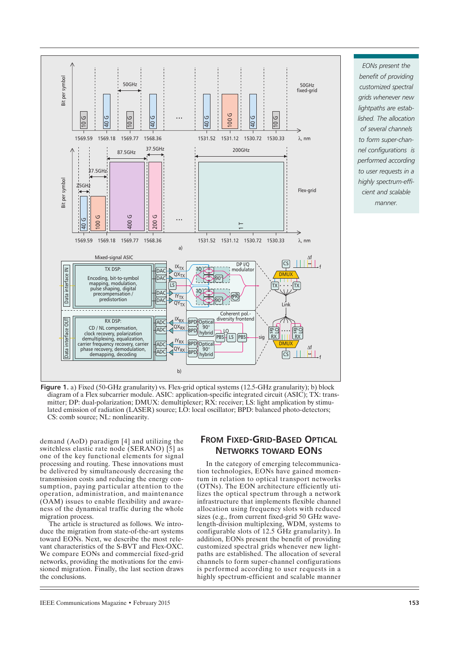

*EONs present the benefit of providing customized spectral grids whenever new lightpaths are established. The allocation of several channels to form super-channel configurations is performed according to user requests in a highly spectrum-efficient and scalable manner.*

**Figure 1.** a) Fixed (50-GHz granularity) vs. Flex-grid optical systems (12.5-GHz granularity); b) block diagram of a Flex subcarrier module. ASIC: application-specific integrated circuit (ASIC); TX: transmitter; DP: dual-polarization; DMUX: demultiplexer; RX: receiver; LS: light amplication by stimulated emission of radiation (LASER) source; LO: local oscillator; BPD: balanced photo-detectors; CS: comb source; NL: nonlinearity.

demand (AoD) paradigm [4] and utilizing the switchless elastic rate node (SERANO) [5] as one of the key functional elements for signal processing and routing. These innovations must be delivered by simultaneously decreasing the transmission costs and reducing the energy consumption, paying particular attention to the operation, administration, and maintenance (OAM) issues to enable flexibility and awareness of the dynamical traffic during the whole migration process.

The article is structured as follows. We introduce the migration from state-of-the-art systems toward EONs. Next, we describe the most relevant characteristics of the S-BVT and Flex-OXC. We compare EONs and commercial fixed-grid networks, providing the motivations for the envisioned migration. Finally, the last section draws the conclusions.

# **FROM FIXED-GRID-BASED OPTICAL NETWORKS TOWARD EONS**

In the category of emerging telecommunication technologies, EONs have gained momentum in relation to optical transport networks (OTNs). The EON architecture efficiently utilizes the optical spectrum through a network infrastructure that implements flexible channel allocation using frequency slots with reduced sizes (e.g., from current fixed-grid 50 GHz wavelength-division multiplexing, WDM, systems to configurable slots of 12.5 GHz granularity). In addition, EONs present the benefit of providing customized spectral grids whenever new lightpaths are established. The allocation of several channels to form super-channel configurations is performed according to user requests in a highly spectrum-efficient and scalable manner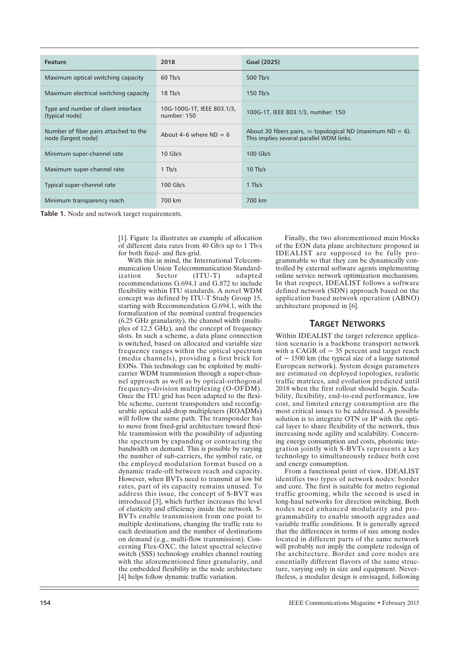| <b>Feature</b>                                               | 2018                                      | <b>Goal (2025)</b>                                                                                        |  |
|--------------------------------------------------------------|-------------------------------------------|-----------------------------------------------------------------------------------------------------------|--|
| Maximum optical switching capacity                           | $60$ Tb/s                                 | 500 $Tb/s$                                                                                                |  |
| Maximum electrical switching capacity                        | $18$ Tb/s                                 | $150$ Tb/s                                                                                                |  |
| Type and number of client interface<br>(typical node)        | 10G-100G-1T, IEEE 803.1/3,<br>number: 150 | 100G-1T, IEEE 803.1/3, number: 150                                                                        |  |
| Number of fiber pairs attached to the<br>node (largest node) | About 4-6 where $ND = 6$                  | About 30 fibers pairs, $\gg$ topological ND (maximum ND = 6).<br>This implies several parallel WDM links. |  |
| Minimum super-channel rate                                   | $10$ Gb/s                                 | $100$ Gb/s                                                                                                |  |
| Maximum super-channel rate                                   | 1 Tb/s                                    | $10$ Tb/s                                                                                                 |  |
| Typical super-channel rate                                   | $100$ Gb/s                                | 1 Tb/s                                                                                                    |  |
| Minimum transparency reach                                   | 700 km                                    | 700 km                                                                                                    |  |

**Table 1.** Node and network target requirements.

[1]. Figure 1a illustrates an example of allocation of different data rates from 40 Gb/s up to 1 Tb/s for both fixed- and flex-grid.

With this in mind, the International Telecommunication Union Telecommunication Standardization Sector (ITU-T) adapted recommendations G.694.1 and G.872 to include flexibility within ITU standards. A novel WDM concept was defined by ITU-T Study Group 15, starting with Recommendation G.694.1, with the formalization of the nominal central frequencies (6.25 GHz granularity), the channel width (multiples of 12.5 GHz), and the concept of frequency slots. In such a scheme, a data plane connection is switched, based on allocated and variable size frequency ranges within the optical spectrum (media channels), providing a first brick for EONs. This technology can be exploited by multicarrier WDM transmission through a super-channel approach as well as by optical-orthogonal frequency-division multiplexing (O-OFDM). Once the ITU grid has been adapted to the flexible scheme, current transponders and reconfigurable optical add-drop multiplexers (ROADMs) will follow the same path. The transponder has to move from fixed-grid architecture toward flexible transmission with the possibility of adjusting the spectrum by expanding or contracting the bandwidth on demand. This is possible by varying the number of sub-carriers, the symbol rate, or the employed modulation format based on a dynamic trade-off between reach and capacity. However, when BVTs need to transmit at low bit rates, part of its capacity remains unused. To address this issue, the concept of S-BVT was introduced [3], which further increases the level of elasticity and efficiency inside the network. S-BVTs enable transmission from one point to multiple destinations, changing the traffic rate to each destination and the number of destinations on demand (e.g., multi-flow transmission). Concerning Flex-OXC, the latest spectral selective switch (SSS) technology enables channel routing with the aforementioned finer granularity, and the embedded flexibility in the node architecture [4] helps follow dynamic traffic variation.

Finally, the two aforementioned main blocks of the EON data plane architecture proposed in IDEALIST are supposed to be fully programmable so that they can be dynamically controlled by external software agents implementing online service network optimization mechanisms. In that respect, IDEALIST follows a software defined network (SDN) approach based on the application based network operation (ABNO) architecture proposed in [6].

## **TARGET NETWORKS**

Within IDEALIST the target reference application scenario is a backbone transport network with a CAGR of  $\sim$  35 percent and target reach of  $\sim$  1500 km (the typical size of a large national European network). System design parameters are estimated on deployed topologies, realistic traffic matrices, and evolution predicted until 2018 when the first rollout should begin. Scalability, flexibility, end-to-end performance, low cost, and limited energy consumption are the most critical issues to be addressed. A possible solution is to integrate OTN or IP with the optical layer to share flexibility of the network, thus increasing node agility and scalability. Concerning energy consumption and costs, photonic integration jointly with S-BVTs represents a key technology to simultaneously reduce both cost and energy consumption.

From a functional point of view, IDEALIST identifies two types of network nodes: border and core. The first is suitable for metro regional traffic grooming, while the second is used in long-haul networks for direction switching. Both nodes need enhanced modularity and programmability to enable smooth upgrades and variable traffic conditions. It is generally agreed that the differences in terms of size among nodes located in different parts of the same network will probably not imply the complete redesign of the architecture. Border and core nodes are essentially different flavors of the same structure, varying only in size and equipment. Nevertheless, a modular design is envisaged, following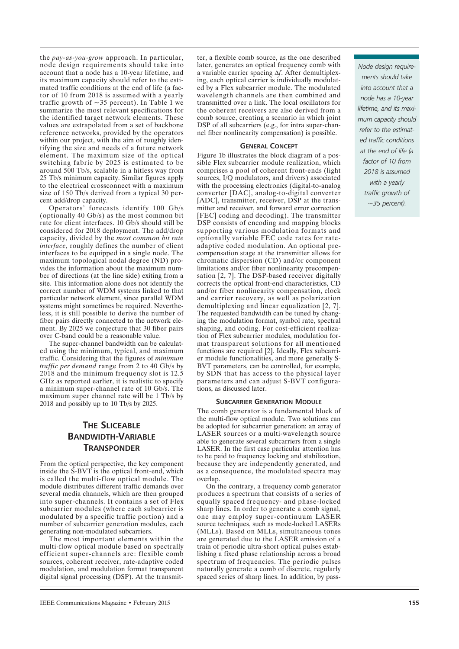the *pay-as-you-grow* approach. In particular, node design requirements should take into account that a node has a 10-year lifetime, and its maximum capacity should refer to the estimated traffic conditions at the end of life (a factor of 10 from 2018 is assumed with a yearly traffic growth of  $\sim$ 35 percent). In Table 1 we summarize the most relevant specifications for the identified target network elements. These values are extrapolated from a set of backbone reference networks, provided by the operators within our project, with the aim of roughly identifying the size and needs of a future network element. The maximum size of the optical switching fabric by 2025 is estimated to be around 500 Tb/s, scalable in a hitless way from 25 Tb/s minimum capacity. Similar figures apply to the electrical crossconnect with a maximum size of 150 Tb/s derived from a typical 30 percent add/drop capacity.

Operators' forecasts identify 100 Gb/s (optionally 40 Gb/s) as the most common bit rate for client interfaces. 10 Gb/s should still be considered for 2018 deployment. The add/drop capacity, divided by the *most common bit rate interface*, roughly defines the number of client interfaces to be equipped in a single node. The maximum topological nodal degree (ND) provides the information about the maximum number of directions (at the line side) exiting from a site. This information alone does not identify the correct number of WDM systems linked to that particular network element, since parallel WDM systems might sometimes be required. Nevertheless, it is still possible to derive the number of fiber pairs directly connected to the network element. By 2025 we conjecture that 30 fiber pairs over C-band could be a reasonable value.

The super-channel bandwidth can be calculated using the minimum, typical, and maximum traffic. Considering that the figures of *minimum traffic per demand* range from 2 to 40 Gb/s by 2018 and the minimum frequency slot is 12.5 GHz as reported earlier, it is realistic to specify a minimum super-channel rate of 10 Gb/s. The maximum super channel rate will be 1 Tb/s by 2018 and possibly up to 10 Tb/s by 2025.

# **THE SLICEABLE BANDWIDTH-VARIABLE TRANSPONDER**

From the optical perspective, the key component inside the S-BVT is the optical front-end, which is called the multi-flow optical module. The module distributes different traffic demands over several media channels, which are then grouped into super-channels. It contains a set of Flex subcarrier modules (where each subcarrier is modulated by a specific traffic portion) and a number of subcarrier generation modules, each generating non-modulated subcarriers.

The most important elements within the multi-flow optical module based on spectrally efficient super-channels are: flexible comb sources, coherent receiver, rate-adaptive coded modulation, and modulation format transparent digital signal processing (DSP). At the transmit-

ter, a flexible comb source, as the one described later, generates an optical frequency comb with a variable carrier spacing  $\Delta f$ . After demultiplexing, each optical carrier is individually modulated by a Flex subcarrier module. The modulated wavelength channels are then combined and transmitted over a link. The local oscillators for the coherent receivers are also derived from a comb source, creating a scenario in which joint DSP of all subcarriers (e.g., for intra super-channel fiber nonlinearity compensation) is possible.

#### **GENERAL CONCEPT**

Figure 1b illustrates the block diagram of a possible Flex subcarrier module realization, which comprises a pool of coherent front-ends (light sources, I/Q modulators, and drivers) associated with the processing electronics (digital-to-analog converter [DAC], analog-to-digital converter [ADC], transmitter, receiver, DSP at the transmitter and receiver, and forward error correction [FEC] coding and decoding). The transmitter DSP consists of encoding and mapping blocks supporting various modulation formats and optionally variable FEC code rates for rateadaptive coded modulation. An optional precompensation stage at the transmitter allows for chromatic dispersion (CD) and/or component limitations and/or fiber nonlinearity precompensation [2, 7]. The DSP-based receiver digitally corrects the optical front-end characteristics, CD and/or fiber nonlinearity compensation, clock and carrier recovery, as well as polarization demultiplexing and linear equalization [2, 7]. The requested bandwidth can be tuned by changing the modulation format, symbol rate, spectral shaping, and coding. For cost-efficient realization of Flex subcarrier modules, modulation format transparent solutions for all mentioned functions are required [2]. Ideally, Flex subcarrier module functionalities, and more generally S-BVT parameters, can be controlled, for example, by SDN that has access to the physical layer parameters and can adjust S-BVT configurations, as discussed later.

#### **SUBCARRIER GENERATION MODULE**

The comb generator is a fundamental block of the multi-flow optical module. Two solutions can be adopted for subcarrier generation: an array of LASER sources or a multi-wavelength source able to generate several subcarriers from a single LASER. In the first case particular attention has to be paid to frequency locking and stabilization, because they are independently generated, and as a consequence, the modulated spectra may overlap.

On the contrary, a frequency comb generator produces a spectrum that consists of a series of equally spaced frequency- and phase-locked sharp lines. In order to generate a comb signal, one may employ super-continuum LASER source techniques, such as mode-locked LASERs (MLLs). Based on MLLs, simultaneous tones are generated due to the LASER emission of a train of periodic ultra-short optical pulses establishing a fixed phase relationship across a broad spectrum of frequencies. The periodic pulses naturally generate a comb of discrete, regularly spaced series of sharp lines. In addition, by pass*Node design requirements should take into account that a node has a 10-year lifetime, and its maximum capacity should refer to the estimated traffic conditions at the end of life (a factor of 10 from 2018 is assumed with a yearly traffic growth of ~35 percent).*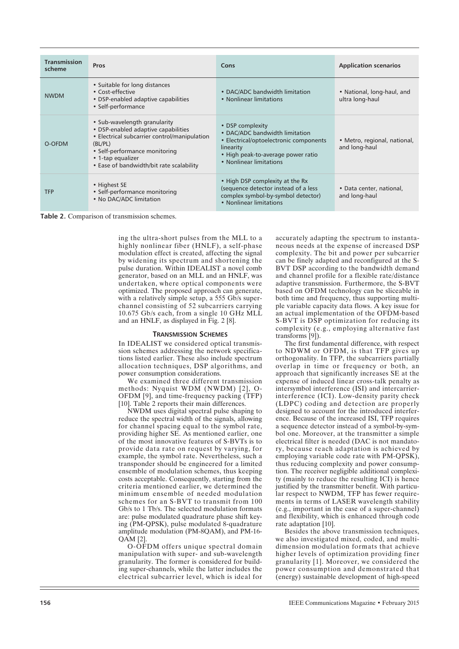| <b>Transmission</b><br>scheme | Pros                                                                                                                                                                                                                             | Cons                                                                                                                                                                       | <b>Application scenarios</b>                  |
|-------------------------------|----------------------------------------------------------------------------------------------------------------------------------------------------------------------------------------------------------------------------------|----------------------------------------------------------------------------------------------------------------------------------------------------------------------------|-----------------------------------------------|
| <b>NWDM</b>                   | • Suitable for long distances<br>• Cost-effective<br>• DSP-enabled adaptive capabilities<br>• Self-performance                                                                                                                   | • DAC/ADC bandwidth limitation<br>• Nonlinear limitations                                                                                                                  | • National, long-haul, and<br>ultra long-haul |
| O-OFDM                        | • Sub-wavelength granularity<br>• DSP-enabled adaptive capabilities<br>• Electrical subcarrier control/manipulation<br>(BL/PL)<br>• Self-performance monitoring<br>• 1-tap equalizer<br>• Ease of bandwidth/bit rate scalability | • DSP complexity<br>• DAC/ADC bandwidth limitation<br>• Electrical/optoelectronic components<br>linearity<br>• High peak-to-average power ratio<br>• Nonlinear limitations | • Metro, regional, national,<br>and long-haul |
| <b>TFP</b>                    | • Highest SE<br>• Self-performance monitoring<br>• No DAC/ADC limitation                                                                                                                                                         | • High DSP complexity at the Rx<br>(sequence detector instead of a less<br>complex symbol-by-symbol detector)<br>• Nonlinear limitations                                   | • Data center, national,<br>and long-haul     |

**Table 2.** Comparison of transmission schemes.

ing the ultra-short pulses from the MLL to a highly nonlinear fiber (HNLF), a self-phase modulation effect is created, affecting the signal by widening its spectrum and shortening the pulse duration. Within IDEALIST a novel comb generator, based on an MLL and an HNLF, was undertaken, where optical components were optimized. The proposed approach can generate, with a relatively simple setup, a 555 Gb/s superchannel consisting of 52 subcarriers carrying 10.675 Gb/s each, from a single 10 GHz MLL and an HNLF, as displayed in Fig. 2 [8].

#### **TRANSMISSION SCHEMES**

In IDEALIST we considered optical transmission schemes addressing the network specifications listed earlier. These also include spectrum allocation techniques, DSP algorithms, and power consumption considerations.

We examined three different transmission methods: Nyquist WDM (NWDM) [2], O-OFDM [9], and time-frequency packing (TFP) [10]. Table 2 reports their main differences.

NWDM uses digital spectral pulse shaping to reduce the spectral width of the signals, allowing for channel spacing equal to the symbol rate, providing higher SE. As mentioned earlier, one of the most innovative features of S-BVTs is to provide data rate on request by varying, for example, the symbol rate. Nevertheless, such a transponder should be engineered for a limited ensemble of modulation schemes, thus keeping costs acceptable. Consequently, starting from the criteria mentioned earlier, we determined the minimum ensemble of needed modulation schemes for an S-BVT to transmit from 100 Gb/s to 1 Tb/s. The selected modulation formats are: pulse modulated quadrature phase shift keying (PM-QPSK), pulse modulated 8-quadrature amplitude modulation (PM-8QAM), and PM-16- QAM [2].

O-OFDM offers unique spectral domain manipulation with super- and sub-wavelength granularity. The former is considered for building super-channels, while the latter includes the electrical subcarrier level, which is ideal for accurately adapting the spectrum to instantaneous needs at the expense of increased DSP complexity. The bit and power per subcarrier can be finely adapted and reconfigured at the S-BVT DSP according to the bandwidth demand and channel profile for a flexible rate/distance adaptive transmission. Furthermore, the S-BVT based on OFDM technology can be sliceable in both time and frequency, thus supporting multiple variable capacity data flows. A key issue for an actual implementation of the OFDM-based S-BVT is DSP optimization for reducing its complexity (e.g., employing alternative fast transforms [9]).

The first fundamental difference, with respect to NDWM or OFDM, is that TFP gives up orthogonality. In TFP, the subcarriers partially overlap in time or frequency or both, an approach that significantly increases SE at the expense of induced linear cross-talk penalty as intersymbol interference (ISI) and intercarrierinterference (ICI). Low-density parity check (LDPC) coding and detection are properly designed to account for the introduced interference. Because of the increased ISI, TFP requires a sequence detector instead of a symbol-by-symbol one. Moreover, at the transmitter a simple electrical filter is needed (DAC is not mandatory, because reach adaptation is achieved by employing variable code rate with PM-QPSK), thus reducing complexity and power consumption. The receiver negligible additional complexity (mainly to reduce the resulting ICI) is hence justified by the transmitter benefit. With particular respect to NWDM, TFP has fewer requirements in terms of LASER wavelength stability (e.g., important in the case of a super-channel) and flexibility, which is enhanced through code rate adaptation [10].

Besides the above transmission techniques, we also investigated mixed, coded, and multidimension modulation formats that achieve higher levels of optimization providing finer granularity [1]. Moreover, we considered the power consumption and demonstrated that (energy) sustainable development of high-speed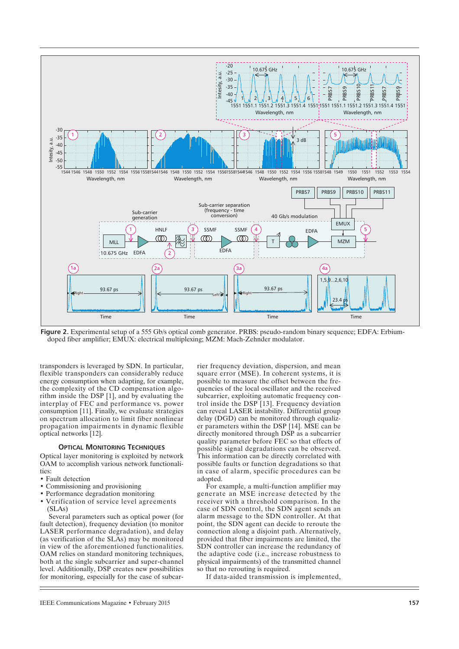

**Figure 2.** Experimental setup of a 555 Gb/s optical comb generator. PRBS: pseudo-random binary sequence; EDFA: Erbiumdoped fiber amplifier; EMUX: electrical multiplexing; MZM: Mach-Zehnder modulator.

transponders is leveraged by SDN. In particular, flexible transponders can considerably reduce energy consumption when adapting, for example, the complexity of the CD compensation algorithm inside the DSP [1], and by evaluating the interplay of FEC and performance vs. power consumption [11]. Finally, we evaluate strategies on spectrum allocation to limit fiber nonlinear propagation impairments in dynamic flexible optical networks [12].

#### **OPTICAL MONITORING TECHNIQUES**

Optical layer monitoring is exploited by network OAM to accomplish various network functionalities:

- Fault detection
- Commissioning and provisioning
- Performance degradation monitoring
- Verification of service level agreements (SLAs)

Several parameters such as optical power (for fault detection), frequency deviation (to monitor LASER performance degradation), and delay (as verification of the SLAs) may be monitored in view of the aforementioned functionalities. OAM relies on standard monitoring techniques, both at the single subcarrier and super-channel level. Additionally, DSP creates new possibilities for monitoring, especially for the case of subcarrier frequency deviation, dispersion, and mean square error (MSE). In coherent systems, it is possible to measure the offset between the frequencies of the local oscillator and the received subcarrier, exploiting automatic frequency control inside the DSP [13]. Frequency deviation can reveal LASER instability. Differential group delay (DGD) can be monitored through equalizer parameters within the DSP [14]. MSE can be directly monitored through DSP as a subcarrier quality parameter before FEC so that effects of possible signal degradations can be observed. This information can be directly correlated with possible faults or function degradations so that in case of alarm, specific procedures can be adopted.

For example, a multi-function amplifier may generate an MSE increase detected by the receiver with a threshold comparison. In the case of SDN control, the SDN agent sends an alarm message to the SDN controller. At that point, the SDN agent can decide to reroute the connection along a disjoint path. Alternatively, provided that fiber impairments are limited, the SDN controller can increase the redundancy of the adaptive code (i.e., increase robustness to physical impairments) of the transmitted channel so that no rerouting is required.

If data-aided transmission is implemented,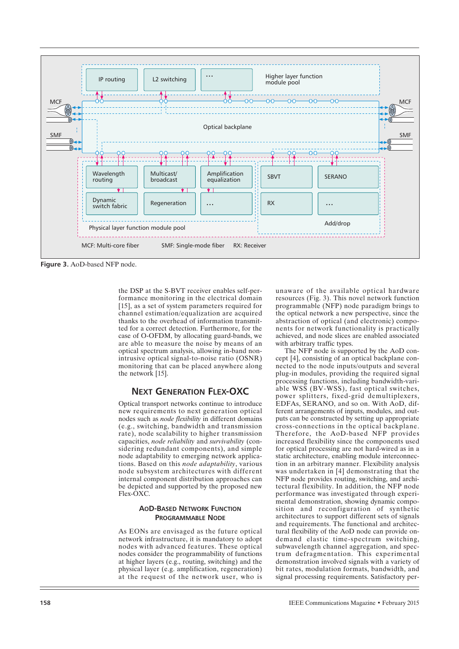

**Figure 3.** AoD-based NFP node.

the DSP at the S-BVT receiver enables self-performance monitoring in the electrical domain [15], as a set of system parameters required for channel estimation/equalization are acquired thanks to the overhead of information transmitted for a correct detection. Furthermore, for the case of O-OFDM, by allocating guard-bands, we are able to measure the noise by means of an optical spectrum analysis, allowing in-band nonintrusive optical signal-to-noise ratio (OSNR) monitoring that can be placed anywhere along the network [15].

# **NEXT GENERATION FLEX-OXC**

Optical transport networks continue to introduce new requirements to next generation optical nodes such as *node flexibility* in different domains (e.g., switching, bandwidth and transmission rate), node scalability to higher transmission capacities, *node reliability* and *survivability* (considering redundant components), and simple node adaptability to emerging network applications. Based on this *node adaptability*, various node subsystem architectures with different internal component distribution approaches can be depicted and supported by the proposed new Flex-OXC.

## **AOD-BASED NETWORK FUNCTION PROGRAMMABLE NODE**

As EONs are envisaged as the future optical network infrastructure, it is mandatory to adopt nodes with advanced features. These optical nodes consider the programmability of functions at higher layers (e.g., routing, switching) and the physical layer (e.g. amplification, regeneration) at the request of the network user, who is unaware of the available optical hardware resources (Fig. 3). This novel network function programmable (NFP) node paradigm brings to the optical network a new perspective, since the abstraction of optical (and electronic) components for network functionality is practically achieved, and node slices are enabled associated with arbitrary traffic types.

The NFP node is supported by the AoD concept [4], consisting of an optical backplane connected to the node inputs/outputs and several plug-in modules, providing the required signal processing functions, including bandwidth-variable WSS (BV-WSS), fast optical switches, power splitters, fixed-grid demultiplexers, EDFAs, SERANO, and so on. With AoD, different arrangements of inputs, modules, and outputs can be constructed by setting up appropriate cross-connections in the optical backplane. Therefore, the AoD-based NFP provides increased flexibility since the components used for optical processing are not hard-wired as in a static architecture, enabling module interconnection in an arbitrary manner. Flexibility analysis was undertaken in [4] demonstrating that the NFP node provides routing, switching, and architectural flexibility. In addition, the NFP node performance was investigated through experimental demonstration, showing dynamic composition and reconfiguration of synthetic architectures to support different sets of signals and requirements. The functional and architectural flexibility of the AoD node can provide ondemand elastic time-spectrum switching, subwavelength channel aggregation, and spectrum defragmentation. This experimental demonstration involved signals with a variety of bit rates, modulation formats, bandwidth, and signal processing requirements. Satisfactory per-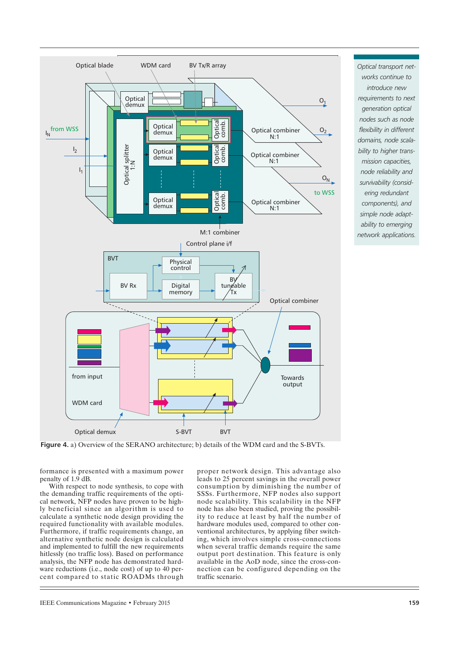

*Optical transport networks continue to introduce new requirements to next generation optical nodes such as node flexibility in different domains, node scalability to higher transmission capacities, node reliability and survivability (considering redundant components), and simple node adaptability to emerging network applications.*

**Figure 4.** a) Overview of the SERANO architecture; b) details of the WDM card and the S-BVTs.

formance is presented with a maximum power penalty of 1.9 dB.

With respect to node synthesis, to cope with the demanding traffic requirements of the optical network, NFP nodes have proven to be highly beneficial since an algorithm is used to calculate a synthetic node design providing the required functionality with available modules. Furthermore, if traffic requirements change, an alternative synthetic node design is calculated and implemented to fulfill the new requirements hitlessly (no traffic loss). Based on performance analysis, the NFP node has demonstrated hardware reductions (i.e., node cost) of up to 40 percent compared to static ROADMs through

proper network design. This advantage also leads to 25 percent savings in the overall power consumption by diminishing the number of SSSs. Furthermore, NFP nodes also support node scalability. This scalability in the NFP node has also been studied, proving the possibility to reduce at least by half the number of hardware modules used, compared to other conventional architectures, by applying fiber switching, which involves simple cross-connections when several traffic demands require the same output port destination. This feature is only available in the AoD node, since the cross-connection can be configured depending on the traffic scenario.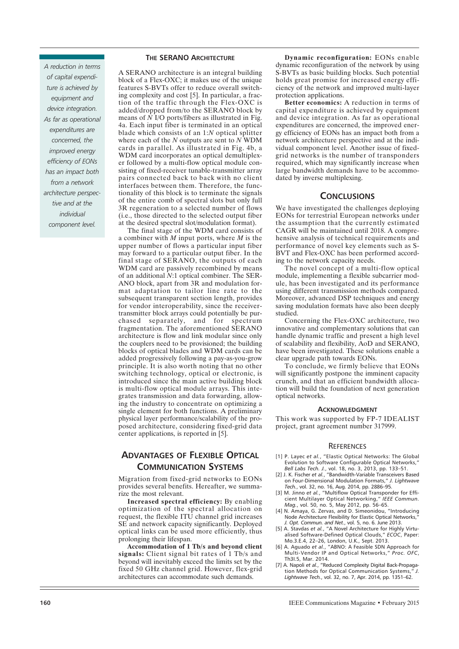#### **THE SERANO ARCHITECTURE**

*A reduction in terms of capital expenditure is achieved by equipment and device integration. As far as operational expenditures are concerned, the improved energy efficiency of EONs has an impact both from a network architecture perspective and at the individual component level.*

A SERANO architecture is an integral building block of a Flex-OXC; it makes use of the unique features S-BVTs offer to reduce overall switching complexity and cost [5]. In particular, a fraction of the traffic through the Flex-OXC is added/dropped from/to the SERANO block by means of *N* I/O ports/fibers as illustrated in Fig. 4a. Each input fiber is terminated in an optical blade which consists of an 1:*N* optical splitter where each of the *N* outputs are sent to *N* WDM cards in parallel. As illustrated in Fig. 4b, a WDM card incorporates an optical demultiplexer followed by a multi-flow optical module consisting of fixed-receiver tunable-transmitter array pairs connected back to back with no client interfaces between them. Therefore, the functionality of this block is to terminate the signals of the entire comb of spectral slots but only full 3R regeneration to a selected number of flows (i.e., those directed to the selected output fiber at the desired spectral slot/modulation format).

The final stage of the WDM card consists of a combiner with *M* input ports, where *M* is the upper number of flows a particular input fiber may forward to a particular output fiber. In the final stage of SERANO, the outputs of each WDM card are passively recombined by means of an additional *N*:1 optical combiner. The SER-ANO block, apart from 3R and modulation format adaptation to tailor line rate to the subsequent transparent section length, provides for vendor interoperability, since the receivertransmitter block arrays could potentially be purchased separately, and for spectrum fragmentation. The aforementioned SERANO architecture is flow and link modular since only the couplers need to be provisioned; the building blocks of optical blades and WDM cards can be added progressively following a pay-as-you-grow principle. It is also worth noting that no other switching technology, optical or electronic, is introduced since the main active building block is multi-flow optical module arrays. This integrates transmission and data forwarding, allowing the industry to concentrate on optimizing a single element for both functions. A preliminary physical layer performance/scalability of the proposed architecture, considering fixed-grid data center applications, is reported in [5].

# **ADVANTAGES OF FLEXIBLE OPTICAL COMMUNICATION SYSTEMS**

Migration from fixed-grid networks to EONs provides several benefits. Hereafter, we summarize the most relevant.

**Increased spectral efficiency:** By enabling optimization of the spectral allocation on request, the flexible ITU channel grid increases SE and network capacity significantly. Deployed optical links can be used more efficiently, thus prolonging their lifespan.

**Accommodation of 1 Tb/s and beyond client signals:** Client signal bit rates of 1 Tb/s and beyond will inevitably exceed the limits set by the fixed 50 GHz channel grid. However, flex-grid architectures can accommodate such demands.

**Dynamic reconfiguration:** EONs enable dynamic reconfiguration of the network by using S-BVTs as basic building blocks. Such potential holds great promise for increased energy efficiency of the network and improved multi-layer protection applications.

**Better economics:** A reduction in terms of capital expenditure is achieved by equipment and device integration. As far as operational expenditures are concerned, the improved energy efficiency of EONs has an impact both from a network architecture perspective and at the individual component level. Another issue of fixedgrid networks is the number of transponders required, which may significantly increase when large bandwidth demands have to be accommodated by inverse multiplexing.

## **CONCLUSIONS**

We have investigated the challenges deploying EONs for terrestrial European networks under the assumption that the currently estimated CAGR will be maintained until 2018. A comprehensive analysis of technical requirements and performance of novel key elements such as S-BVT and Flex-OXC has been performed according to the network capacity needs.

The novel concept of a multi-flow optical module, implementing a flexible subcarrier module, has been investigated and its performance using different transmission methods compared. Moreover, advanced DSP techniques and energy saving modulation formats have also been deeply studied.

Concerning the Flex-OXC architecture, two innovative and complementary solutions that can handle dynamic traffic and present a high level of scalability and flexibility, AoD and SERANO, have been investigated. These solutions enable a clear upgrade path towards EONs.

To conclude, we firmly believe that EONs will significantly postpone the imminent capacity crunch, and that an efficient bandwidth allocation will build the foundation of next generation optical networks.

#### **ACKNOWLEDGMENT**

This work was supported by FP-7 IDEALIST project, grant agreement number 317999.

#### **REFERENCES**

- [1] P. Layec *et al.*, "Elastic Optical Networks: The Global Evolution to Software Configurable Optical Networks,"
- *Bell Labs Tech. J.*, vol. 18, no. 3, 2013, pp. 133–51. [2] J. K. Fischer *et al.*, "Bandwidth-Variable Transceivers Based on Four-Dimensional Modulation Formats," *J. Lightwave*
- *Tech.*, vol. 32, no. 16, Aug. 2014, pp. 2886–95. [3] M. Jinno *et al.*, "Multiflow Optical Transponder for Efficient Multilayer Optical Networking," *IEEE Commun. Mag.*, vol. 50, no. 5, May 2012, pp. 56–65. [4] N. Amaya, G. Zervas, and D. Simeonidou, "Introducing
- Node Architecture Flexibility for Elastic Optical Networks," *J. Opt. Commun. and Net.*, vol. 5, no. 6. June 2013.
- [5] A. Stavdas *et al.*, "A Novel Architecture for Highly Virtu-alised Software-Defined Optical Clouds," *ECOC*, Paper: Mo.3.E.4, 22–26, London, U.K., Sept. 2013.
- [6] A. Aguado *et al.*, "ABNO: A Feasible SDN Approach for Multi-Vendor IP and Optical Networks," *Proc. OFC*, Th3I.5, Mar. 2014.
- [7] A. Napoli *et al.*, "Reduced Complexity Digital Back-Propagation Methods for Optical Communication Systems," *J. Lightwave Tech.*, vol. 32, no. 7, Apr. 2014, pp. 1351–62.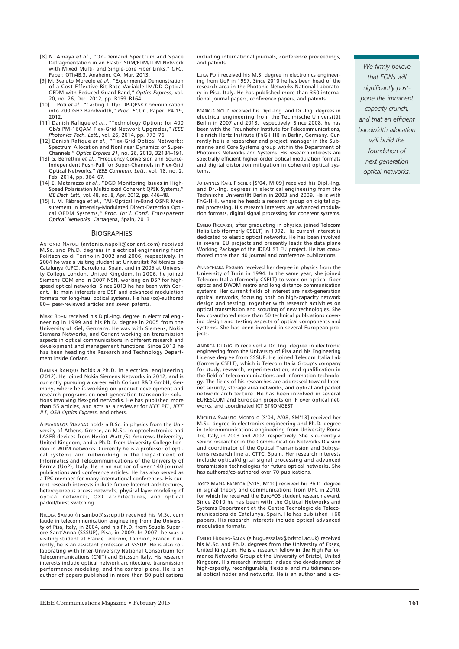- [8] N. Amaya *et al.*, "On-Demand Spectrum and Space Defragmentation in an Elastic SDM/FDM/TDM Network with Mixed Multi- and Single-core Fiber Links," *OFC*,
- Paper: OTh4B.3, Anaheim, CA, Mar. 2013.<br>[9] M. Svaluto Moreolo *et al.*, "Experimental Demonstration<br>of a Cost-Effective Bit Rate Variable IM/DD Optical OFDM with Reduced Guard Band," *Optics Express*, vol.
- 20, no. 26, Dec. 2012, pp. B159–B164. [10] L. Potì *et al.*, "Casting 1 Tb/s DP-QPSK Communication into 200 GHz Bandwidth," *Proc. ECOC*, Paper: P4.19, 2012.
- [11] Danish Rafique *et al.*, "Technology Options for 400 Gb/s PM-16QAM Flex-Grid Network Upgrades," *IEEE Photonics Tech. Lett.*, vol. 26, 2014, pp. 773–76. [12] Danish Rafique *et al.*, "Flex-Grid Optical Networks:
- Spectrum Allocation and Nonlinear Dynamics of Super-
- Channels," *Optics Express 21*, no. 26, 2013, 32184–191. [13] G. Berrettini *et al.*, "Frequency Conversion and Source-Independent Push-Pull for Super-Channels in Flex-Grid Optical Networks," *IEEE Commun. Lett.*, vol. 18, no. 2,
- Feb. 2014, pp. 364–67. [14] E. Matarazzo *et al.*, "DGD Monitoring Issues in High-Speed Polarisation Multiplexed Coherent QPSK Systems," *IEE Elect. Lett.*, vol. 48, no. 8, Apr. 2012, pp. 446–48. [15] J. M. Fàbrega *et al.*, "All-Optical In-Band OSNR Mea-
- surement in Intensity-Modulated Direct-Detection Opti-cal OFDM Systems," *Proc. Int'l. Conf. Transparent Optical Networks*, Cartagena, Spain, 2013

#### **BIOGRAPHIES**

ANTONIO NAPOLI (antonio.napoli@coriant.com) received M.Sc. and Ph.D. degrees in electrical engineering from Politecnico di Torino in 2002 and 2006, respectively. In 2004 he was a visiting student at Universitat Politècnica de Catalunya (UPC), Barcelona, Spain, and in 2005 at University College London, United Kingdom. In 2006, he joined Siemens COM and in 2007 NSN, working on DSP for high-speed optical networks. Since 2013 he has been with Coriant. His main interests are DSP and advanced modulation formats for long-haul optical systems. He has (co)-authored 80+ peer-reviewed articles and seven patents.

MARC BOHN received his Dipl.-Ing. degree in electrical engineering in 1999 and his Ph.D. degree in 2005 from the University of Kiel, Germany. He was with Siemens, Nokia Siemens Networks, and Coriant working on transmission aspects in optical communications in different research and development and management functions. Since 2013 he has been heading the Research and Technology Department inside Coriant.

DANISH RAFIQUE holds a Ph.D. in electrical engineering (2012). He joined Nokia Siemens Networks in 2012, and is currently pursuing a career with Coriant R&D GmbH, Germany, where he is working on product development and research programs on next-generation transponder solu-tions involving flex-grid networks. He has published more than 55 articles, and acts as a reviewer for *IEEE PTL*, *IEEE JLT*, *OSA Optics Express*, and others.

ALEXANDROS STAVDAS holds a B.Sc. in physics from the University of Athens, Greece, an M.Sc. in optoelectronics and LASER devices from Heriot-Watt /St-Andrews University, United Kingdom, and a Ph.D. from University College London in WDM networks. Currently he is a professor of opti-cal systems and networking in the Department of Informatics and Telecommunications of the University of Parma (UoP), Italy. He is an author of over 140 journal publications and conference articles. He has also served as a TPC member for many international conferences. His current research interests include future Internet architectures, heterogeneous access networks, physical layer modeling of optical networks, OXC architectures, and optical packet/burst switching.

NICOLA SAMBO (n.sambo@sssup.it) received his M.Sc. cum laude in telecommunication engineering from the University of Pisa, Italy, in 2004, and his Ph.D. from Scuola Superi-ore Sant'Anna (SSSUP), Pisa, in 2009. In 2007, he was a visiting student at France Télécom, Lannion, France. Currently, he is an assistant professor at SSSUP. He is also collaborating with Inter-University National Consortium for Telecommunications (CNIT) and Ericsson Italy. His research interests include optical network architecture, transmission performance modeling, and the control plane. He is an author of papers published in more than 80 publications

including international journals, conference proceedings, and patents.

LUCA POTÌ received his M.S. degree in electronics engineer-ing from UoP in 1997. Since 2010 he has been head of the research area in the Photonic Networks National Laboratory in Pisa, Italy. He has published more than 350 international journal papers, conference papers, and patents.

MARKUS NÖLLE received his Dipl.-Ing. and Dr.-Ing. degrees in electrical engineering from the Technische Universität Berlin in 2007 and 2013, respectively. Since 2008, he has been with the Fraunhofer Institute for Telecommunications, Heinrich Hertz Institute (FhG-HHI) in Berlin, Germany. Cur-rently he is a researcher and project manager in the Submarine and Core Systems group within the Department of Photonics Networks and Systems. His research interests are spectrally efficient higher-order optical modulation formats and digital distortion mitigation in coherent optical systems.

JOHANNES KARL FISCHER [S'04, M'09] received his Dipl.-Ing. and Dr.-Ing. degrees in electrical engineering from the Technische Universität Berlin in 2003 and 2009. He is with FhG-HHI, where he heads a research group on digital signal processing. His research interests are advanced modulation formats, digital signal processing for coherent systems.

EMILIO RICCARDI, after graduating in physics, joined Telecom Italia Lab (formerly CSELT) in 1992. His current interest is dedicated to elastic optical networks. He has been involved in several EU projects and presently leads the data plane Working Package of the IDEALIST EU project. He has coauthored more than 40 journal and conference publications.

ANNACHIARA PAGANO received her degree in physics from the University of Turin in 1994. In the same year, she joined Telecom Italia (formerly CSELT) to work on optical fiber optics and DWDM metro and long distance communication systems. Her current fields of interest are next-generation optical networks, focusing both on high-capacity network design and testing, together with research activities on optical transmission and scouting of new technologies. She has co-authored more than 50 technical publications covering design and testing aspects of optical components and systems. She has been involved in several European projects.

ANDREA DI GIGLIO received a Dr. Ing. degree in electronic engineering from the University of Pisa and his Engineering License degree from SSSUP. He joined Telecom Italia Lab (formerly CSELT), which is Telecom Italia Group's company for study, research, experimentation, and qualification in the field of telecommunications and information technology. The fields of his researches are addressed toward Inter-net security, storage area networks, and optical and packet network architecture. He has been involved in several EURESCOM and European projects on IP over optical networks, and coordinated ICT STRONGEST

MICHELA SVALUTO MOREOLO [S'04, A'08, SM'13] received her M.Sc. degree in electronics engineering and Ph.D. degree in telecommunications engineering from University Roma Tre, Italy, in 2003 and 2007, respectively. She is currently a senior researcher in the Communication Networks Division and coordinator of the Optical Transmission and Subsystems research line at CTTC, Spain. Her research interests include optical/digital signal processing and advanced transmission technologies for future optical networks. She has authored/co-authored over 70 publications.

JOSEP MARIA FABREGA [S'05, M'10] received his Ph.D. degree in signal theory and communications from UPC in 2010, for which he received the EuroFOS student research award. Since 2010 he has been with the Optical Networks and Systems Department at the Centre Tecnologic de Telecomunicacions de Catalunya, Spain. He has published +60 papers. His research interests include optical advanced modulation formats.

EMILIO HUGUES-SALAS (e.huguessalas@bristol.ac.uk) received his M.Sc. and Ph.D. degrees from the University of Essex, United Kingdom. He is a research fellow in the High Performance Networks Group at the University of Bristol, United Kingdom. His research interests include the development of high-capacity, reconfigurable, flexible, and multidimensional optical nodes and networks. He is an author and a co-

*that EONs will significantly postpone the imminent capacity crunch, and that an efficient bandwidth allocation will build the foundation of next generation optical networks.*

*We firmly believe*